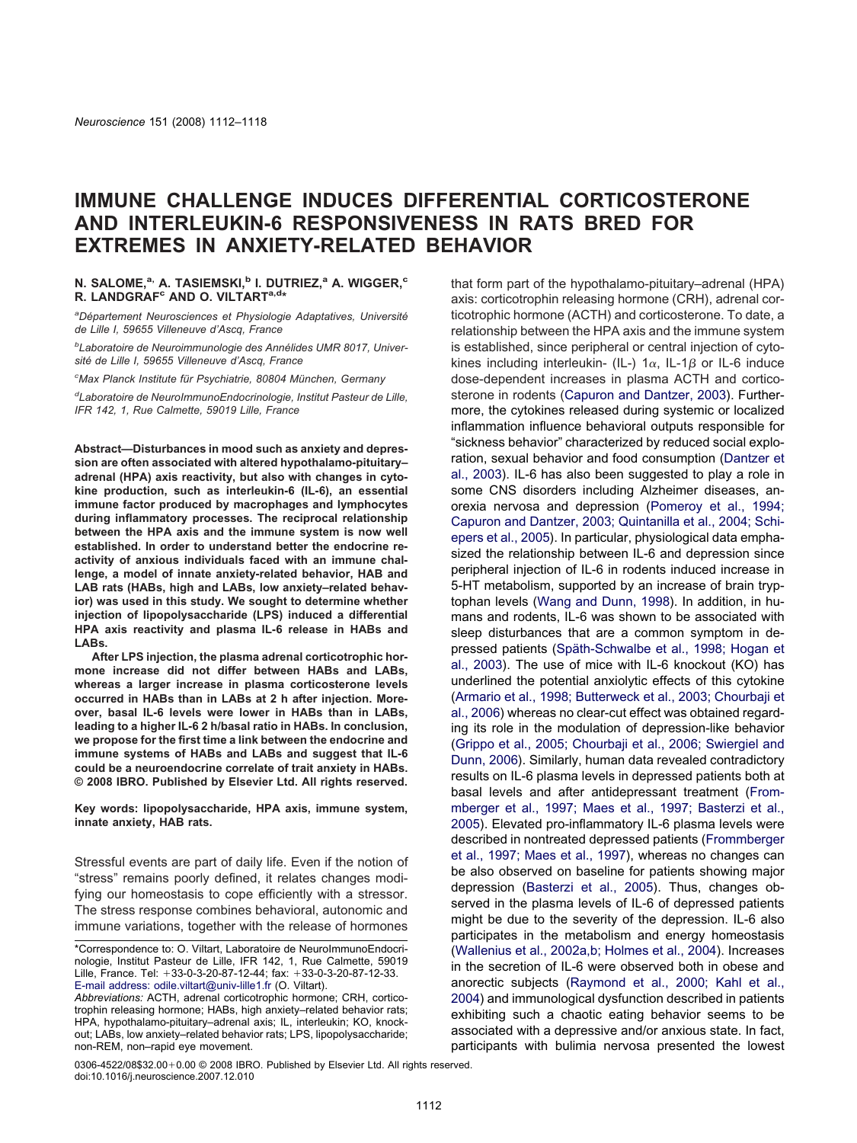# **IMMUNE CHALLENGE INDUCES DIFFERENTIAL CORTICOSTERONE AND INTERLEUKIN-6 RESPONSIVENESS IN RATS BRED FOR EXTREMES IN ANXIETY-RELATED BEHAVIOR**

## **N. SALOME.**<sup>a,</sup> **A. TASIEMSKI.**<sup>b</sup> **I. DUTRIEZ.**<sup>a</sup> **A. WIGGER.**<sup>c</sup> **R. LANDGRAF<sup>c</sup> AND O. VILTART<sup>a,d\*</sup>**

*a Département Neurosciences et Physiologie Adaptatives, Université de Lille I, 59655 Villeneuve d'Ascq, France*

*b Laboratoire de Neuroimmunologie des Annélides UMR 8017, Université de Lille I, 59655 Villeneuve d'Ascq, France*

*c Max Planck Institute für Psychiatrie, 80804 München, Germany*

*d Laboratoire de NeuroImmunoEndocrinologie, Institut Pasteur de Lille, IFR 142, 1, Rue Calmette, 59019 Lille, France*

**Abstract—Disturbances in mood such as anxiety and depression are often associated with altered hypothalamo-pituitary– adrenal (HPA) axis reactivity, but also with changes in cytokine production, such as interleukin-6 (IL-6), an essential immune factor produced by macrophages and lymphocytes during inflammatory processes. The reciprocal relationship between the HPA axis and the immune system is now well established. In order to understand better the endocrine reactivity of anxious individuals faced with an immune challenge, a model of innate anxiety-related behavior, HAB and LAB rats (HABs, high and LABs, low anxiety–related behavior) was used in this study. We sought to determine whether injection of lipopolysaccharide (LPS) induced a differential HPA axis reactivity and plasma IL-6 release in HABs and LABs.**

**After LPS injection, the plasma adrenal corticotrophic hormone increase did not differ between HABs and LABs, whereas a larger increase in plasma corticosterone levels occurred in HABs than in LABs at 2 h after injection. Moreover, basal IL-6 levels were lower in HABs than in LABs, leading to a higher IL-6 2 h/basal ratio in HABs. In conclusion, we propose for the first time a link between the endocrine and immune systems of HABs and LABs and suggest that IL-6 could be a neuroendocrine correlate of trait anxiety in HABs. © 2008 IBRO. Published by Elsevier Ltd. All rights reserved.**

**Key words: lipopolysaccharide, HPA axis, immune system, innate anxiety, HAB rats.**

Stressful events are part of daily life. Even if the notion of "stress" remains poorly defined, it relates changes modifying our homeostasis to cope efficiently with a stressor. The stress response combines behavioral, autonomic and immune variations, together with the release of hormones

axis: corticotrophin releasing hormone (CRH), adrenal corticotrophic hormone (ACTH) and corticosterone. To date, a relationship between the HPA axis and the immune system is established, since peripheral or central injection of cytokines including interleukin- (IL-) 1 $\alpha$ , IL-1 $\beta$  or IL-6 induce dose-dependent increases in plasma ACTH and corticosterone in rodents [\(Capuron and Dantzer, 2003\)](#page-5-0). Furthermore, the cytokines released during systemic or localized inflammation influence behavioral outputs responsible for "sickness behavior" characterized by reduced social exploration, sexual behavior and food consumption [\(Dantzer et](#page-5-0) [al., 2003\)](#page-5-0). IL-6 has also been suggested to play a role in some CNS disorders including Alzheimer diseases, anorexia nervosa and depression [\(Pomeroy et al., 1994;](#page-5-0) [Capuron and Dantzer, 2003; Quintanilla et al., 2004; Schi](#page-5-0)[epers et al., 2005\)](#page-5-0). In particular, physiological data emphasized the relationship between IL-6 and depression since peripheral injection of IL-6 in rodents induced increase in 5-HT metabolism, supported by an increase of brain tryptophan levels [\(Wang and Dunn, 1998\)](#page-6-0). In addition, in humans and rodents, IL-6 was shown to be associated with sleep disturbances that are a common symptom in depressed patients [\(Späth-Schwalbe et al., 1998; Hogan et](#page-6-0) [al., 2003\)](#page-6-0). The use of mice with IL-6 knockout (KO) has underlined the potential anxiolytic effects of this cytokine [\(Armario et al., 1998; Butterweck et al., 2003; Chourbaji et](#page-4-0) [al., 2006\)](#page-4-0) whereas no clear-cut effect was obtained regarding its role in the modulation of depression-like behavior [\(Grippo et al., 2005; Chourbaji et al., 2006; Swiergiel and](#page-5-0) [Dunn, 2006\)](#page-5-0). Similarly, human data revealed contradictory results on IL-6 plasma levels in depressed patients both at basal levels and after antidepressant treatment [\(From](#page-5-0)[mberger et al., 1997; Maes et al., 1997; Basterzi et al.,](#page-5-0) [2005\)](#page-5-0). Elevated pro-inflammatory IL-6 plasma levels were described in nontreated depressed patients [\(Frommberger](#page-5-0) [et al., 1997; Maes et al., 1997\)](#page-5-0), whereas no changes can be also observed on baseline for patients showing major depression [\(Basterzi et al., 2005\)](#page-4-0). Thus, changes observed in the plasma levels of IL-6 of depressed patients might be due to the severity of the depression. IL-6 also participates in the metabolism and energy homeostasis [\(Wallenius et al., 2002a,b; Holmes et al., 2004\)](#page-6-0). Increases in the secretion of IL-6 were observed both in obese and anorectic subjects [\(Raymond et al., 2000; Kahl et al.,](#page-5-0) [2004\)](#page-5-0) and immunological dysfunction described in patients exhibiting such a chaotic eating behavior seems to be associated with a depressive and/or anxious state. In fact, participants with bulimia nervosa presented the lowest

that form part of the hypothalamo-pituitary–adrenal (HPA)

 $0306 - 4522/08$ \$32.00+0.00  $\odot$  2008 IBRO. Published by Elsevier Ltd. All rights reserved. doi:10.1016/j.neuroscience.2007.12.010

<sup>\*</sup>Correspondence to: O. Viltart, Laboratoire de NeuroImmunoEndocrinologie, Institut Pasteur de Lille, IFR 142, 1, Rue Calmette, 59019 Lille, France. Tel: +33-0-3-20-87-12-44; fax: +33-0-3-20-87-12-33. E-mail address: [odile.viltart@univ-lille1.fr](E-mail address: odile.viltart@univ-lille1.fr) (O. Viltart).

*Abbreviations:* ACTH, adrenal corticotrophic hormone; CRH, corticotrophin releasing hormone; HABs, high anxiety–related behavior rats; HPA, hypothalamo-pituitary–adrenal axis; IL, interleukin; KO, knockout; LABs, low anxiety–related behavior rats; LPS, lipopolysaccharide; non-REM, non–rapid eye movement.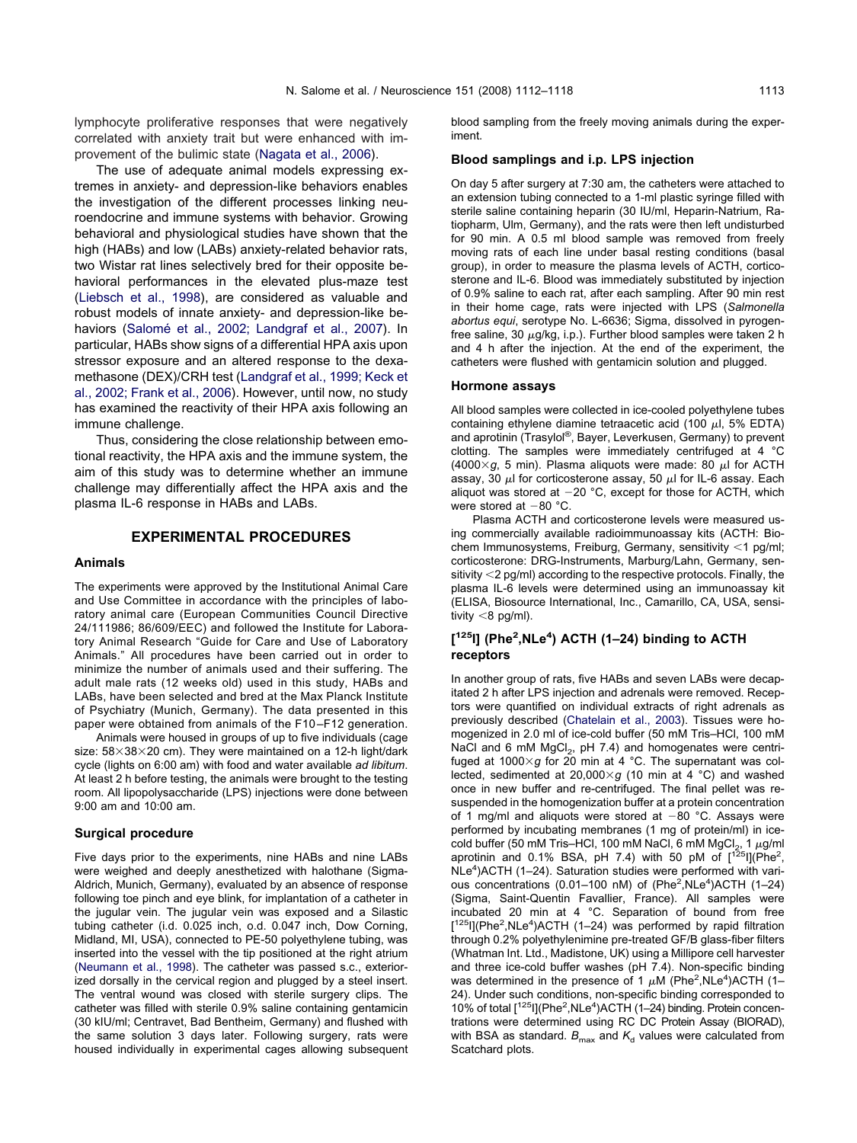lymphocyte proliferative responses that were negatively correlated with anxiety trait but were enhanced with improvement of the bulimic state [\(Nagata et al., 2006\)](#page-5-0).

The use of adequate animal models expressing extremes in anxiety- and depression-like behaviors enables the investigation of the different processes linking neuroendocrine and immune systems with behavior. Growing behavioral and physiological studies have shown that the high (HABs) and low (LABs) anxiety-related behavior rats, two Wistar rat lines selectively bred for their opposite behavioral performances in the elevated plus-maze test [\(Liebsch et al., 1998\)](#page-5-0), are considered as valuable and robust models of innate anxiety- and depression-like behaviors [\(Salomé et al., 2002; Landgraf et al., 2007\)](#page-6-0). In particular, HABs show signs of a differential HPA axis upon stressor exposure and an altered response to the dexamethasone (DEX)/CRH test [\(Landgraf et al., 1999; Keck et](#page-5-0) [al., 2002; Frank et al., 2006\)](#page-5-0). However, until now, no study has examined the reactivity of their HPA axis following an immune challenge.

Thus, considering the close relationship between emotional reactivity, the HPA axis and the immune system, the aim of this study was to determine whether an immune challenge may differentially affect the HPA axis and the plasma IL-6 response in HABs and LABs.

## **EXPERIMENTAL PROCEDURES**

#### **Animals**

The experiments were approved by the Institutional Animal Care and Use Committee in accordance with the principles of laboratory animal care (European Communities Council Directive 24/111986; 86/609/EEC) and followed the Institute for Laboratory Animal Research "Guide for Care and Use of Laboratory Animals." All procedures have been carried out in order to minimize the number of animals used and their suffering. The adult male rats (12 weeks old) used in this study, HABs and LABs, have been selected and bred at the Max Planck Institute of Psychiatry (Munich, Germany). The data presented in this paper were obtained from animals of the F10 –F12 generation.

Animals were housed in groups of up to five individuals (cage size: 58 $\times$ 38 $\times$ 20 cm). They were maintained on a 12-h light/dark cycle (lights on 6:00 am) with food and water available *ad libitum*. At least 2 h before testing, the animals were brought to the testing room. All lipopolysaccharide (LPS) injections were done between 9:00 am and 10:00 am.

#### **Surgical procedure**

Five days prior to the experiments, nine HABs and nine LABs were weighed and deeply anesthetized with halothane (Sigma-Aldrich, Munich, Germany), evaluated by an absence of response following toe pinch and eye blink, for implantation of a catheter in the jugular vein. The jugular vein was exposed and a Silastic tubing catheter (i.d. 0.025 inch, o.d. 0.047 inch, Dow Corning, Midland, MI, USA), connected to PE-50 polyethylene tubing, was inserted into the vessel with the tip positioned at the right atrium [\(Neumann et al., 1998\)](#page-5-0). The catheter was passed s.c., exteriorized dorsally in the cervical region and plugged by a steel insert. The ventral wound was closed with sterile surgery clips. The catheter was filled with sterile 0.9% saline containing gentamicin (30 kIU/ml; Centravet, Bad Bentheim, Germany) and flushed with the same solution 3 days later. Following surgery, rats were housed individually in experimental cages allowing subsequent blood sampling from the freely moving animals during the experiment.

## **Blood samplings and i.p. LPS injection**

On day 5 after surgery at 7:30 am, the catheters were attached to an extension tubing connected to a 1-ml plastic syringe filled with sterile saline containing heparin (30 IU/ml, Heparin-Natrium, Ratiopharm, Ulm, Germany), and the rats were then left undisturbed for 90 min. A 0.5 ml blood sample was removed from freely moving rats of each line under basal resting conditions (basal group), in order to measure the plasma levels of ACTH, corticosterone and IL-6. Blood was immediately substituted by injection of 0.9% saline to each rat, after each sampling. After 90 min rest in their home cage, rats were injected with LPS (*Salmonella abortus equi*, serotype No. L-6636; Sigma, dissolved in pyrogenfree saline, 30  $\mu$ g/kg, i.p.). Further blood samples were taken 2 h and 4 h after the injection. At the end of the experiment, the catheters were flushed with gentamicin solution and plugged.

#### **Hormone assays**

All blood samples were collected in ice-cooled polyethylene tubes containing ethylene diamine tetraacetic acid (100  $\mu$ l, 5% EDTA) and aprotinin (Trasylol®, Bayer, Leverkusen, Germany) to prevent clotting. The samples were immediately centrifuged at 4 °C (4000 $\times$ g, 5 min). Plasma aliquots were made: 80  $\mu$ l for ACTH assay, 30  $\mu$  for corticosterone assay, 50  $\mu$  for IL-6 assay. Each aliquot was stored at  $-20$  °C, except for those for ACTH, which were stored at  $-80$  °C.

Plasma ACTH and corticosterone levels were measured using commercially available radioimmunoassay kits (ACTH: Biochem Immunosystems, Freiburg, Germany, sensitivity  $<$ 1 pg/ml; corticosterone: DRG-Instruments, Marburg/Lahn, Germany, sensitivity  $<$  2 pg/ml) according to the respective protocols. Finally, the plasma IL-6 levels were determined using an immunoassay kit (ELISA, Biosource International, Inc., Camarillo, CA, USA, sensitivity  $<$ 8 pg/ml).

# **[ 125I] (Phe2 ,NLe4 ) ACTH (1–24) binding to ACTH receptors**

In another group of rats, five HABs and seven LABs were decapitated 2 h after LPS injection and adrenals were removed. Receptors were quantified on individual extracts of right adrenals as previously described [\(Chatelain et al., 2003\)](#page-5-0). Tissues were homogenized in 2.0 ml of ice-cold buffer (50 mM Tris–HCl, 100 mM NaCl and 6 mM  $MgCl<sub>2</sub>$ , pH 7.4) and homogenates were centrifuged at 1000×g for 20 min at 4 °C. The supernatant was collected, sedimented at 20,000×g (10 min at 4 °C) and washed once in new buffer and re-centrifuged. The final pellet was resuspended in the homogenization buffer at a protein concentration of 1 mg/ml and aliquots were stored at  $-80$  °C. Assays were performed by incubating membranes (1 mg of protein/ml) in icecold buffer (50 mM Tris–HCl, 100 mM NaCl, 6 mM MgCl<sub>2</sub>, 1  $\mu$ g/ml aprotinin and 0.1% BSA, pH 7.4) with 50 pM of  $[1^{25}]$  (Phe<sup>2</sup>, NLe<sup>4</sup>)ACTH (1-24). Saturation studies were performed with various concentrations (0.01-100 nM) of (Phe<sup>2</sup>, NLe<sup>4</sup>) ACTH (1-24) (Sigma, Saint-Quentin Favallier, France). All samples were incubated 20 min at 4 °C. Separation of bound from free [<sup>125</sup>I](Phe<sup>2</sup>,NLe<sup>4</sup>)ACTH (1-24) was performed by rapid filtration through 0.2% polyethylenimine pre-treated GF/B glass-fiber filters (Whatman Int. Ltd., Madistone, UK) using a Millipore cell harvester and three ice-cold buffer washes (pH 7.4). Non-specific binding was determined in the presence of 1  $\mu$ M (Phe<sup>2</sup>, NLe<sup>4</sup>)ACTH (1-24). Under such conditions, non-specific binding corresponded to 10% of total [<sup>125</sup>I](Phe<sup>2</sup>, NLe<sup>4</sup>)ACTH (1-24) binding. Protein concentrations were determined using RC DC Protein Assay (BIORAD), with BSA as standard.  $B_{\text{max}}$  and  $K_d$  values were calculated from Scatchard plots.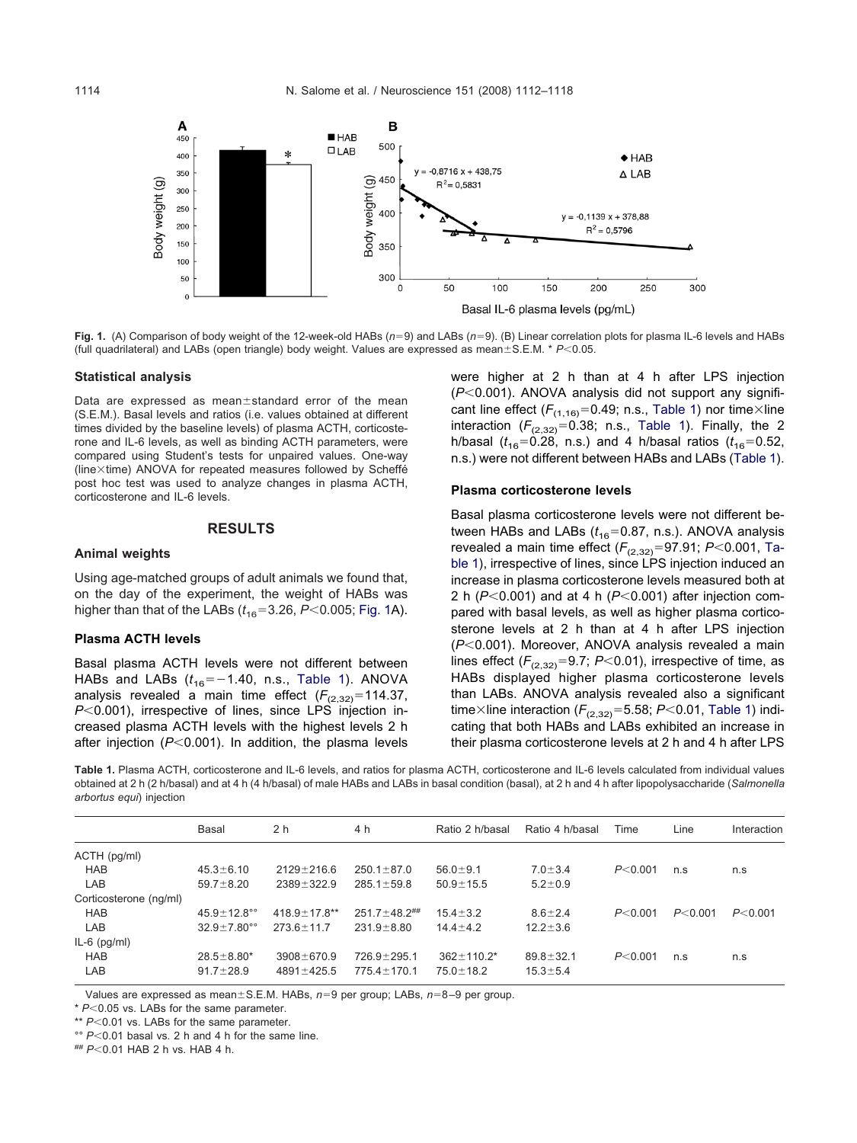<span id="page-2-0"></span>

Fig. 1. (A) Comparison of body weight of the 12-week-old HABs ( $n=9$ ) and LABs ( $n=9$ ). (B) Linear correlation plots for plasma IL-6 levels and HABs (full quadrilateral) and LABs (open triangle) body weight. Values are expressed as mean±S.E.M. \* *P*<0.05.

#### **Statistical analysis**

Data are expressed as mean $\pm$ standard error of the mean (S.E.M.). Basal levels and ratios (i.e. values obtained at different times divided by the baseline levels) of plasma ACTH, corticosterone and IL-6 levels, as well as binding ACTH parameters, were compared using Student's tests for unpaired values. One-way (line-time) ANOVA for repeated measures followed by Scheffé post hoc test was used to analyze changes in plasma ACTH, corticosterone and IL-6 levels.

#### **RESULTS**

## **Animal weights**

Using age-matched groups of adult animals we found that, on the day of the experiment, the weight of HABs was higher than that of the LABs  $(t_{16}=3.26, P<0.005;$  Fig. 1A).

# **Plasma ACTH levels**

Basal plasma ACTH levels were not different between HABs and LABs  $(t_{16}=-1.40, n.s.,$  Table 1). ANOVA analysis revealed a main time effect  $(F_{(2,32)}=114.37,$ *P*<0.001), irrespective of lines, since LPS injection increased plasma ACTH levels with the highest levels 2 h after injection  $(P<0.001)$ . In addition, the plasma levels were higher at 2 h than at 4 h after LPS injection ( $P$ <0.001). ANOVA analysis did not support any significant line effect ( $F_{(1,16)}$ =0.49; n.s., Table 1) nor time $\times$ line interaction  $(F_{(2,32)}=0.38;$  n.s., Table 1). Finally, the 2 h/basal ( $t_{16}$ =0.28, n.s.) and 4 h/basal ratios ( $t_{16}$ =0.52, n.s.) were not different between HABs and LABs (Table 1).

#### **Plasma corticosterone levels**

Basal plasma corticosterone levels were not different between HABs and LABs  $(t_{16}=0.87, n.s.)$ . ANOVA analysis revealed a main time effect  $(F_{(2,32)}=97.91; P<0.001,$  Table 1), irrespective of lines, since LPS injection induced an increase in plasma corticosterone levels measured both at 2 h ( $P$ <0.001) and at 4 h ( $P$ <0.001) after injection compared with basal levels, as well as higher plasma corticosterone levels at 2 h than at 4 h after LPS injection (P<0.001). Moreover, ANOVA analysis revealed a main lines effect  $(F_{(2,32)}=9.7; P<0.01)$ , irrespective of time, as HABs displayed higher plasma corticosterone levels than LABs. ANOVA analysis revealed also a significant time $\times$ line interaction ( $F_{(2,32)}$ =5.58; *P*<0.01, Table 1) indicating that both HABs and LABs exhibited an increase in their plasma corticosterone levels at 2 h and 4 h after LPS

**Table 1.** Plasma ACTH, corticosterone and IL-6 levels, and ratios for plasma ACTH, corticosterone and IL-6 levels calculated from individual values obtained at 2 h (2 h/basal) and at 4 h (4 h/basal) of male HABs and LABs in basal condition (basal), at 2 h and 4 h after lipopolysaccharide (*Salmonella arbortus equi*) injection

|                        | <b>Basal</b>              | 2 <sub>h</sub>      | 4 h                            | Ratio 2 h/basal   | Ratio 4 h/basal | Time      | Line     | Interaction |
|------------------------|---------------------------|---------------------|--------------------------------|-------------------|-----------------|-----------|----------|-------------|
| ACTH (pg/ml)           |                           |                     |                                |                   |                 |           |          |             |
| <b>HAB</b>             | $45.3 \pm 6.10$           | $2129 \pm 216.6$    | $250.1 \pm 87.0$               | $56.0 \pm 9.1$    | $7.0 \pm 3.4$   | P < 0.001 | n.s      | n.s         |
| LAB                    | $59.7 \pm 8.20$           | $2389 \pm 322.9$    | $285.1 \pm 59.8$               | $50.9 \pm 15.5$   | $5.2 \pm 0.9$   |           |          |             |
| Corticosterone (ng/ml) |                           |                     |                                |                   |                 |           |          |             |
| <b>HAB</b>             | 45.9 $\pm$ 12.8 $\degree$ | $418.9 \pm 17.8$ ** | $251.7 \pm 48.2$ <sup>##</sup> | $15.4 \pm 3.2$    | $8.6 \pm 2.4$   | P < 0.001 | P< 0.001 | P < 0.001   |
| LAB                    | $32.9 \pm 7.80^{\circ}$   | $273.6 \pm 11.7$    | $231.9 \pm 8.80$               | $14.4 \pm 4.2$    | $12.2 \pm 3.6$  |           |          |             |
| $IL-6$ (pg/ml)         |                           |                     |                                |                   |                 |           |          |             |
| <b>HAB</b>             | $28.5 \pm 8.80^*$         | $3908 \pm 670.9$    | $726.9 \pm 295.1$              | $362 \pm 110.2^*$ | $89.8 \pm 32.1$ | P < 0.001 | n.s      | n.s         |
| LAB                    | $91.7 \pm 28.9$           | $4891 \pm 425.5$    | $775.4 \pm 170.1$              | $75.0 \pm 18.2$   | $15.3 \pm 5.4$  |           |          |             |

Values are expressed as mean ± S.E.M. HABs,  $n=9$  per group; LABs,  $n=8-9$  per group.

\*  $P<0.05$  vs. LABs for the same parameter.

\*\*  $P<0.01$  vs. LABs for the same parameter.

°°  $P$  < 0.01 basal vs. 2 h and 4 h for the same line.

##  $P < 0.01$  HAB 2 h vs. HAB 4 h.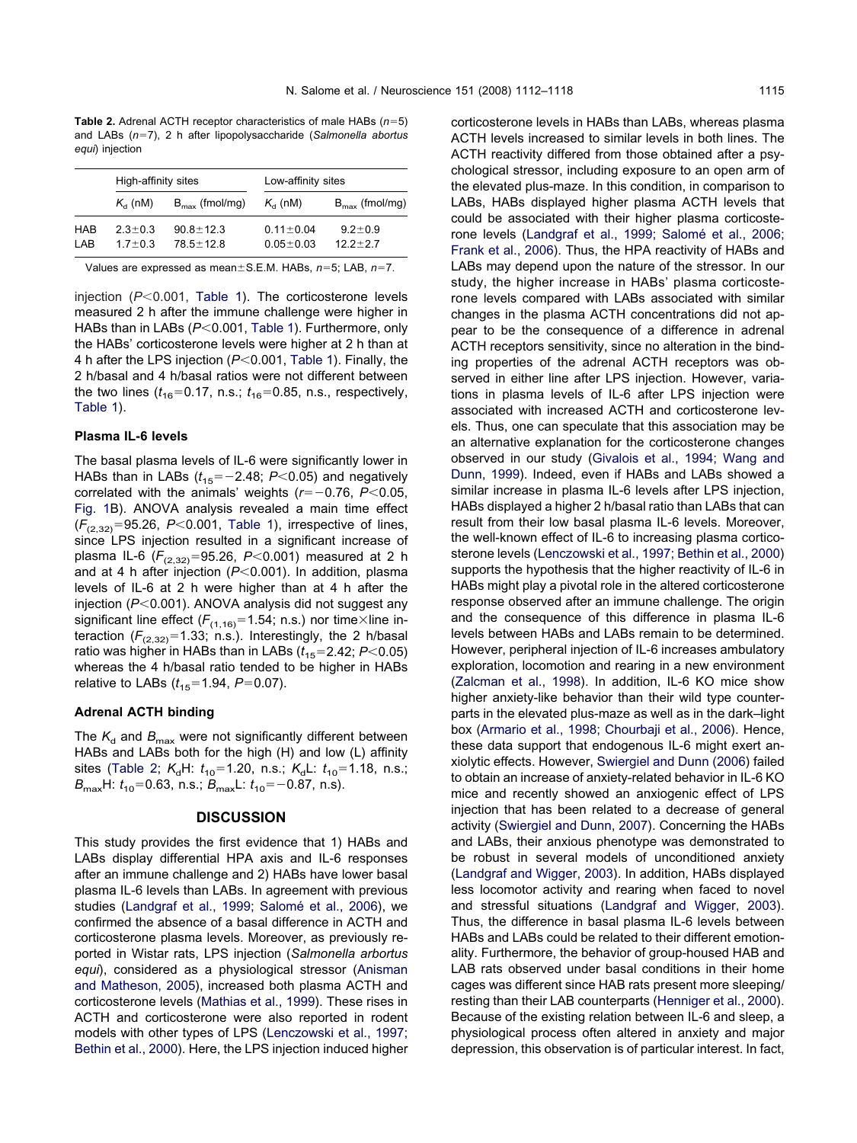**Table 2.** Adrenal ACTH receptor characteristics of male HABs  $(n=5)$ and LABs (n=7), 2 h after lipopolysaccharide (Salmonella abortus *equi*) injection

|            | High-affinity sites |                            | Low-affinity sites |                            |  |  |
|------------|---------------------|----------------------------|--------------------|----------------------------|--|--|
|            | $K_a$ (nM)          | $B_{\text{max}}$ (fmol/mg) | $K_{d}$ (nM)       | $B_{\text{max}}$ (fmol/mg) |  |  |
| <b>HAB</b> | $23+03$             | $90.8 \pm 12.3$            | $0.11 \pm 0.04$    | $9.2 \pm 0.9$              |  |  |
| I AR       | $17 + 0.3$          | $78.5 + 12.8$              | $0.05 \pm 0.03$    | $122+27$                   |  |  |

Values are expressed as mean ± S.E.M. HABs,  $n=5$ ; LAB,  $n=7$ .

injection (P<0.001, [Table 1\)](#page-2-0). The corticosterone levels measured 2 h after the immune challenge were higher in HABs than in LABs ( $P<0.001$ , [Table 1\)](#page-2-0). Furthermore, only the HABs' corticosterone levels were higher at 2 h than at 4 h after the LPS injection ( $P$ <0.001, [Table 1\)](#page-2-0). Finally, the 2 h/basal and 4 h/basal ratios were not different between the two lines  $(t_{16}=0.17, n.s.; t_{16}=0.85, n.s.,$  respectively, [Table 1\)](#page-2-0).

# **Plasma IL-6 levels**

The basal plasma levels of IL-6 were significantly lower in HABs than in LABs  $(t_{15}=-2.48; P<0.05)$  and negatively correlated with the animals' weights  $(r=-0.76, P<0.05,$ [Fig. 1B](#page-2-0)). ANOVA analysis revealed a main time effect  $(F_{(2,32)}=95.26, P<0.001,$  [Table 1\)](#page-2-0), irrespective of lines, since LPS injection resulted in a significant increase of plasma IL-6  $(F_{(2,32)}=95.26, P<0.001)$  measured at 2 h and at 4 h after injection  $(P<0.001)$ . In addition, plasma levels of IL-6 at 2 h were higher than at 4 h after the injection ( $P<0.001$ ). ANOVA analysis did not suggest any significant line effect ( $F_{(1,16)}$ =1.54; n.s.) nor time $\times$ line interaction  $(F_{(2,32)}=1.33; \text{ n.s.})$ . Interestingly, the 2 h/basal ratio was higher in HABs than in LABs  $(t_{15}=2.42; P<0.05)$ whereas the 4 h/basal ratio tended to be higher in HABs relative to LABs  $(t_{15}=1.94, P=0.07)$ .

## **Adrenal ACTH binding**

The  $K_d$  and  $B_{\text{max}}$  were not significantly different between HABs and LABs both for the high (H) and low (L) affinity sites (Table 2;  $K_dH: t_{10} = 1.20$ , n.s.;  $K_dL: t_{10} = 1.18$ , n.s.; *B*<sub>max</sub>H:  $t_{10}$ =0.63, n.s.; *B*<sub>max</sub>L:  $t_{10}$ =-0.87, n.s).

# **DISCUSSION**

This study provides the first evidence that 1) HABs and LABs display differential HPA axis and IL-6 responses after an immune challenge and 2) HABs have lower basal plasma IL-6 levels than LABs. In agreement with previous studies [\(Landgraf et al., 1999; Salomé et al., 2006\)](#page-5-0), we confirmed the absence of a basal difference in ACTH and corticosterone plasma levels. Moreover, as previously reported in Wistar rats, LPS injection (*Salmonella arbortus equi*), considered as a physiological stressor [\(Anisman](#page-4-0) [and Matheson, 2005\)](#page-4-0), increased both plasma ACTH and corticosterone levels [\(Mathias et al., 1999\)](#page-5-0). These rises in ACTH and corticosterone were also reported in rodent models with other types of LPS [\(Lenczowski et al., 1997;](#page-5-0) [Bethin et al., 2000\)](#page-5-0). Here, the LPS injection induced higher corticosterone levels in HABs than LABs, whereas plasma ACTH levels increased to similar levels in both lines. The ACTH reactivity differed from those obtained after a psychological stressor, including exposure to an open arm of the elevated plus-maze. In this condition, in comparison to LABs, HABs displayed higher plasma ACTH levels that could be associated with their higher plasma corticosterone levels [\(Landgraf et al., 1999; Salomé et al., 2006;](#page-5-0) [Frank et al., 2006\)](#page-5-0). Thus, the HPA reactivity of HABs and LABs may depend upon the nature of the stressor. In our study, the higher increase in HABs' plasma corticosterone levels compared with LABs associated with similar changes in the plasma ACTH concentrations did not appear to be the consequence of a difference in adrenal ACTH receptors sensitivity, since no alteration in the binding properties of the adrenal ACTH receptors was observed in either line after LPS injection. However, variations in plasma levels of IL-6 after LPS injection were associated with increased ACTH and corticosterone levels. Thus, one can speculate that this association may be an alternative explanation for the corticosterone changes observed in our study [\(Givalois et al., 1994; Wang and](#page-5-0) [Dunn, 1999\)](#page-5-0). Indeed, even if HABs and LABs showed a similar increase in plasma IL-6 levels after LPS injection, HABs displayed a higher 2 h/basal ratio than LABs that can result from their low basal plasma IL-6 levels. Moreover, the well-known effect of IL-6 to increasing plasma corticosterone levels [\(Lenczowski et al., 1997; Bethin et al., 2000\)](#page-5-0) supports the hypothesis that the higher reactivity of IL-6 in HABs might play a pivotal role in the altered corticosterone response observed after an immune challenge. The origin and the consequence of this difference in plasma IL-6 levels between HABs and LABs remain to be determined. However, peripheral injection of IL-6 increases ambulatory exploration, locomotion and rearing in a new environment [\(Zalcman et al., 1998\)](#page-6-0). In addition, IL-6 KO mice show higher anxiety-like behavior than their wild type counterparts in the elevated plus-maze as well as in the dark–light box [\(Armario et al., 1998; Chourbaji et al., 2006\)](#page-4-0). Hence, these data support that endogenous IL-6 might exert anxiolytic effects. However, [Swiergiel and Dunn \(2006\)](#page-6-0) failed to obtain an increase of anxiety-related behavior in IL-6 KO mice and recently showed an anxiogenic effect of LPS injection that has been related to a decrease of general activity [\(Swiergiel and Dunn, 2007\)](#page-6-0). Concerning the HABs and LABs, their anxious phenotype was demonstrated to be robust in several models of unconditioned anxiety [\(Landgraf and Wigger, 2003\)](#page-5-0). In addition, HABs displayed less locomotor activity and rearing when faced to novel and stressful situations [\(Landgraf and Wigger, 2003\)](#page-5-0). Thus, the difference in basal plasma IL-6 levels between HABs and LABs could be related to their different emotionality. Furthermore, the behavior of group-housed HAB and LAB rats observed under basal conditions in their home cages was different since HAB rats present more sleeping/ resting than their LAB counterparts [\(Henniger et al., 2000\)](#page-5-0). Because of the existing relation between IL-6 and sleep, a physiological process often altered in anxiety and major depression, this observation is of particular interest. In fact,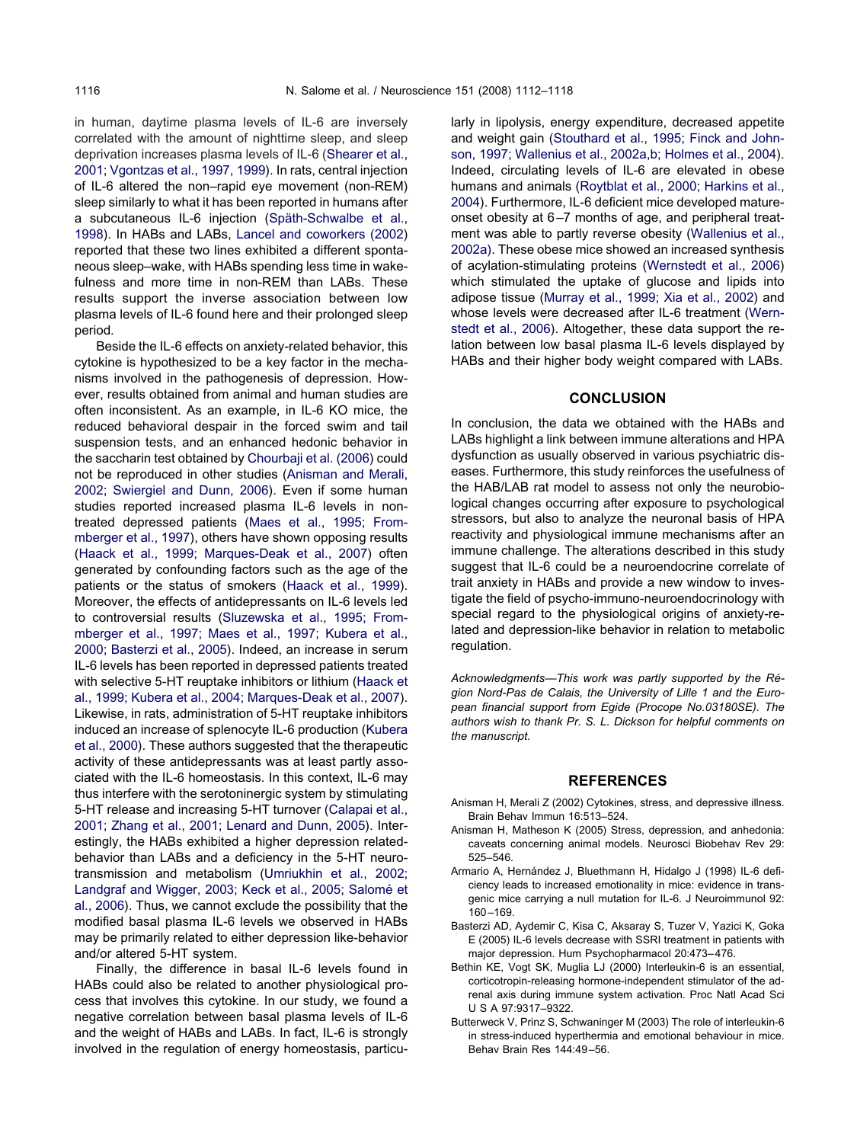<span id="page-4-0"></span>in human, daytime plasma levels of IL-6 are inversely correlated with the amount of nighttime sleep, and sleep deprivation increases plasma levels of IL-6 [\(Shearer et al.,](#page-6-0) [2001; Vgontzas et al., 1997, 1999\)](#page-6-0). In rats, central injection of IL-6 altered the non–rapid eye movement (non-REM) sleep similarly to what it has been reported in humans after a subcutaneous IL-6 injection [\(Späth-Schwalbe et al.,](#page-6-0) [1998\)](#page-6-0). In HABs and LABs, [Lancel and coworkers \(2002\)](#page-5-0) reported that these two lines exhibited a different spontaneous sleep–wake, with HABs spending less time in wakefulness and more time in non-REM than LABs. These results support the inverse association between low plasma levels of IL-6 found here and their prolonged sleep period.

Beside the IL-6 effects on anxiety-related behavior, this cytokine is hypothesized to be a key factor in the mechanisms involved in the pathogenesis of depression. However, results obtained from animal and human studies are often inconsistent. As an example, in IL-6 KO mice, the reduced behavioral despair in the forced swim and tail suspension tests, and an enhanced hedonic behavior in the saccharin test obtained by [Chourbaji et al. \(2006\)](#page-5-0) could not be reproduced in other studies (Anisman and Merali, 2002; Swiergiel and Dunn, 2006). Even if some human studies reported increased plasma IL-6 levels in nontreated depressed patients [\(Maes et al., 1995; From](#page-5-0)[mberger et al., 1997\)](#page-5-0), others have shown opposing results [\(Haack et al., 1999; Marques-Deak et al., 2007\)](#page-5-0) often generated by confounding factors such as the age of the patients or the status of smokers [\(Haack et al., 1999\)](#page-5-0). Moreover, the effects of antidepressants on IL-6 levels led to controversial results [\(Sluzewska et al., 1995; From](#page-6-0)[mberger et al., 1997; Maes et al., 1997; Kubera et al.,](#page-6-0) [2000; Basterzi et al., 2005\)](#page-6-0). Indeed, an increase in serum IL-6 levels has been reported in depressed patients treated with selective 5-HT reuptake inhibitors or lithium [\(Haack et](#page-5-0) [al., 1999; Kubera et al., 2004; Marques-Deak et al., 2007\)](#page-5-0). Likewise, in rats, administration of 5-HT reuptake inhibitors induced an increase of splenocyte IL-6 production [\(Kubera](#page-5-0) [et al., 2000\)](#page-5-0). These authors suggested that the therapeutic activity of these antidepressants was at least partly associated with the IL-6 homeostasis. In this context, IL-6 may thus interfere with the serotoninergic system by stimulating 5-HT release and increasing 5-HT turnover [\(Calapai et al.,](#page-5-0) [2001; Zhang et al., 2001; Lenard and Dunn, 2005\)](#page-5-0). Interestingly, the HABs exhibited a higher depression relatedbehavior than LABs and a deficiency in the 5-HT neurotransmission and metabolism [\(Umriukhin et al., 2002;](#page-6-0) [Landgraf and Wigger, 2003; Keck et al., 2005; Salomé et](#page-6-0) [al., 2006\)](#page-6-0). Thus, we cannot exclude the possibility that the modified basal plasma IL-6 levels we observed in HABs may be primarily related to either depression like-behavior and/or altered 5-HT system.

Finally, the difference in basal IL-6 levels found in HABs could also be related to another physiological process that involves this cytokine. In our study, we found a negative correlation between basal plasma levels of IL-6 and the weight of HABs and LABs. In fact, IL-6 is strongly involved in the regulation of energy homeostasis, particularly in lipolysis, energy expenditure, decreased appetite and weight gain [\(Stouthard et al., 1995; Finck and John](#page-6-0)[son, 1997; Wallenius et al., 2002a,b; Holmes et al., 2004\)](#page-6-0). Indeed, circulating levels of IL-6 are elevated in obese humans and animals [\(Roytblat et al., 2000; Harkins et al.,](#page-6-0) [2004\)](#page-6-0). Furthermore, IL-6 deficient mice developed matureonset obesity at 6 –7 months of age, and peripheral treatment was able to partly reverse obesity [\(Wallenius et al.,](#page-6-0) [2002a\).](#page-6-0) These obese mice showed an increased synthesis of acylation-stimulating proteins [\(Wernstedt et al., 2006\)](#page-6-0) which stimulated the uptake of glucose and lipids into adipose tissue [\(Murray et al., 1999; Xia et al., 2002\)](#page-5-0) and whose levels were decreased after IL-6 treatment [\(Wern](#page-6-0)[stedt et al., 2006\)](#page-6-0). Altogether, these data support the relation between low basal plasma IL-6 levels displayed by HABs and their higher body weight compared with LABs.

# **CONCLUSION**

In conclusion, the data we obtained with the HABs and LABs highlight a link between immune alterations and HPA dysfunction as usually observed in various psychiatric diseases. Furthermore, this study reinforces the usefulness of the HAB/LAB rat model to assess not only the neurobiological changes occurring after exposure to psychological stressors, but also to analyze the neuronal basis of HPA reactivity and physiological immune mechanisms after an immune challenge. The alterations described in this study suggest that IL-6 could be a neuroendocrine correlate of trait anxiety in HABs and provide a new window to investigate the field of psycho-immuno-neuroendocrinology with special regard to the physiological origins of anxiety-related and depression-like behavior in relation to metabolic regulation.

*Acknowledgments—This work was partly supported by the Région Nord-Pas de Calais, the University of Lille 1 and the European financial support from Egide (Procope No.03180SE). The authors wish to thank Pr. S. L. Dickson for helpful comments on the manuscript.*

# **REFERENCES**

- Anisman H, Merali Z (2002) Cytokines, stress, and depressive illness. Brain Behav Immun 16:513–524.
- Anisman H, Matheson K (2005) Stress, depression, and anhedonia: caveats concerning animal models. Neurosci Biobehav Rev 29: 525–546.
- Armario A, Hernández J, Bluethmann H, Hidalgo J (1998) IL-6 deficiency leads to increased emotionality in mice: evidence in transgenic mice carrying a null mutation for IL-6. J Neuroimmunol 92: 160 –169.
- Basterzi AD, Aydemir C, Kisa C, Aksaray S, Tuzer V, Yazici K, Goka E (2005) IL-6 levels decrease with SSRI treatment in patients with major depression. Hum Psychopharmacol 20:473– 476.
- Bethin KE, Vogt SK, Muglia LJ (2000) Interleukin-6 is an essential, corticotropin-releasing hormone-independent stimulator of the adrenal axis during immune system activation. Proc Natl Acad Sci U S A 97:9317–9322.
- Butterweck V, Prinz S, Schwaninger M (2003) The role of interleukin-6 in stress-induced hyperthermia and emotional behaviour in mice. Behav Brain Res 144:49 –56.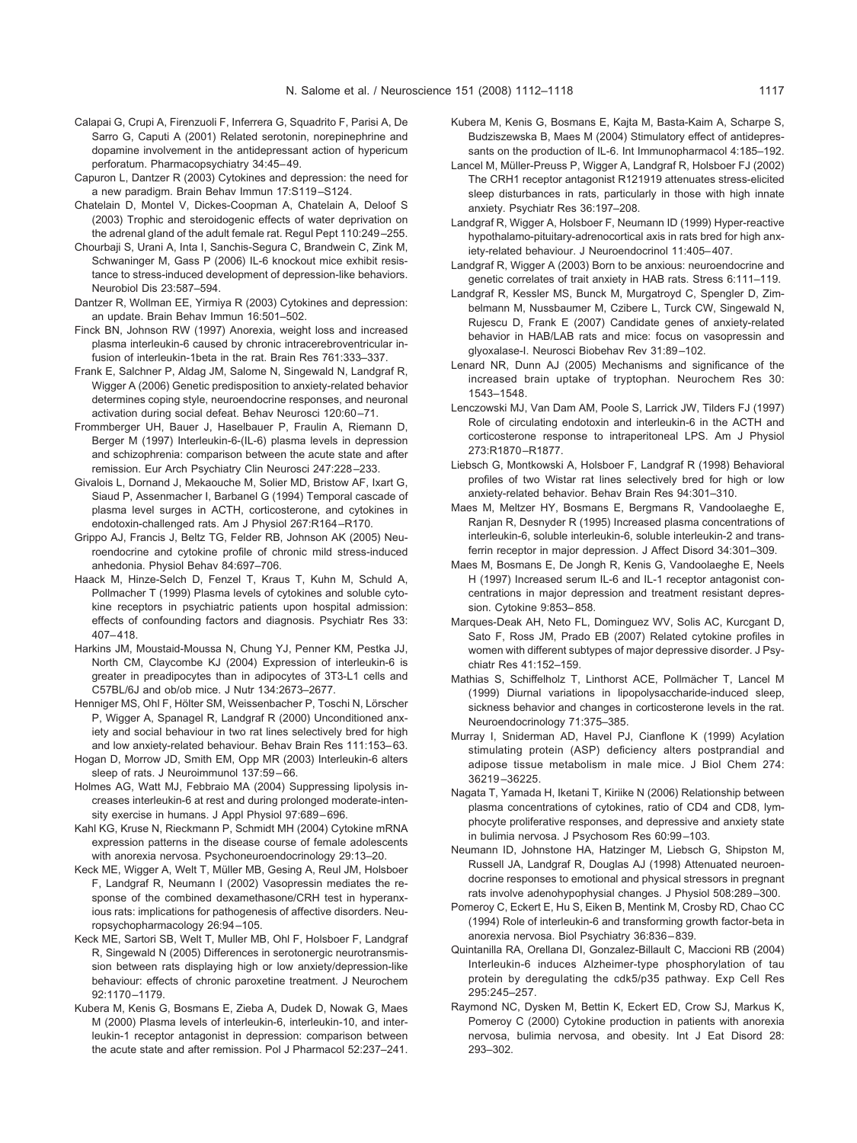- <span id="page-5-0"></span>Calapai G, Crupi A, Firenzuoli F, Inferrera G, Squadrito F, Parisi A, De Sarro G, Caputi A (2001) Related serotonin, norepinephrine and dopamine involvement in the antidepressant action of hypericum perforatum. Pharmacopsychiatry 34:45– 49.
- Capuron L, Dantzer R (2003) Cytokines and depression: the need for a new paradigm. Brain Behav Immun 17:S119 –S124.
- Chatelain D, Montel V, Dickes-Coopman A, Chatelain A, Deloof S (2003) Trophic and steroidogenic effects of water deprivation on the adrenal gland of the adult female rat. Regul Pept 110:249 –255.
- Chourbaji S, Urani A, Inta I, Sanchis-Segura C, Brandwein C, Zink M, Schwaninger M, Gass P (2006) IL-6 knockout mice exhibit resistance to stress-induced development of depression-like behaviors. Neurobiol Dis 23:587–594.
- Dantzer R, Wollman EE, Yirmiya R (2003) Cytokines and depression: an update. Brain Behav Immun 16:501–502.
- Finck BN, Johnson RW (1997) Anorexia, weight loss and increased plasma interleukin-6 caused by chronic intracerebroventricular infusion of interleukin-1beta in the rat. Brain Res 761:333–337.
- Frank E, Salchner P, Aldag JM, Salome N, Singewald N, Landgraf R, Wigger A (2006) Genetic predisposition to anxiety-related behavior determines coping style, neuroendocrine responses, and neuronal activation during social defeat. Behav Neurosci 120:60 –71.
- Frommberger UH, Bauer J, Haselbauer P, Fraulin A, Riemann D, Berger M (1997) Interleukin-6-(IL-6) plasma levels in depression and schizophrenia: comparison between the acute state and after remission. Eur Arch Psychiatry Clin Neurosci 247:228 –233.
- Givalois L, Dornand J, Mekaouche M, Solier MD, Bristow AF, Ixart G, Siaud P, Assenmacher I, Barbanel G (1994) Temporal cascade of plasma level surges in ACTH, corticosterone, and cytokines in endotoxin-challenged rats. Am J Physiol 267:R164 –R170.
- Grippo AJ, Francis J, Beltz TG, Felder RB, Johnson AK (2005) Neuroendocrine and cytokine profile of chronic mild stress-induced anhedonia. Physiol Behav 84:697–706.
- Haack M, Hinze-Selch D, Fenzel T, Kraus T, Kuhn M, Schuld A, Pollmacher T (1999) Plasma levels of cytokines and soluble cytokine receptors in psychiatric patients upon hospital admission: effects of confounding factors and diagnosis. Psychiatr Res 33: 407– 418.
- Harkins JM, Moustaid-Moussa N, Chung YJ, Penner KM, Pestka JJ, North CM, Claycombe KJ (2004) Expression of interleukin-6 is greater in preadipocytes than in adipocytes of 3T3-L1 cells and C57BL/6J and ob/ob mice. J Nutr 134:2673–2677.
- Henniger MS, Ohl F, Hölter SM, Weissenbacher P, Toschi N, Lörscher P, Wigger A, Spanagel R, Landgraf R (2000) Unconditioned anxiety and social behaviour in two rat lines selectively bred for high and low anxiety-related behaviour. Behav Brain Res 111:153– 63.
- Hogan D, Morrow JD, Smith EM, Opp MR (2003) Interleukin-6 alters sleep of rats. J Neuroimmunol 137:59 – 66.
- Holmes AG, Watt MJ, Febbraio MA (2004) Suppressing lipolysis increases interleukin-6 at rest and during prolonged moderate-intensity exercise in humans. J Appl Physiol 97:689 – 696.
- Kahl KG, Kruse N, Rieckmann P, Schmidt MH (2004) Cytokine mRNA expression patterns in the disease course of female adolescents with anorexia nervosa. Psychoneuroendocrinology 29:13–20.
- Keck ME, Wigger A, Welt T, Müller MB, Gesing A, Reul JM, Holsboer F, Landgraf R, Neumann I (2002) Vasopressin mediates the response of the combined dexamethasone/CRH test in hyperanxious rats: implications for pathogenesis of affective disorders. Neuropsychopharmacology 26:94 –105.
- Keck ME, Sartori SB, Welt T, Muller MB, Ohl F, Holsboer F, Landgraf R, Singewald N (2005) Differences in serotonergic neurotransmission between rats displaying high or low anxiety/depression-like behaviour: effects of chronic paroxetine treatment. J Neurochem 92:1170 –1179.
- Kubera M, Kenis G, Bosmans E, Zieba A, Dudek D, Nowak G, Maes M (2000) Plasma levels of interleukin-6, interleukin-10, and interleukin-1 receptor antagonist in depression: comparison between the acute state and after remission. Pol J Pharmacol 52:237–241.
- Kubera M, Kenis G, Bosmans E, Kajta M, Basta-Kaim A, Scharpe S, Budziszewska B, Maes M (2004) Stimulatory effect of antidepressants on the production of IL-6. Int Immunopharmacol 4:185–192.
- Lancel M, Müller-Preuss P, Wigger A, Landgraf R, Holsboer FJ (2002) The CRH1 receptor antagonist R121919 attenuates stress-elicited sleep disturbances in rats, particularly in those with high innate anxiety. Psychiatr Res 36:197–208.
- Landgraf R, Wigger A, Holsboer F, Neumann ID (1999) Hyper-reactive hypothalamo-pituitary-adrenocortical axis in rats bred for high anxiety-related behaviour. J Neuroendocrinol 11:405– 407.
- Landgraf R, Wigger A (2003) Born to be anxious: neuroendocrine and genetic correlates of trait anxiety in HAB rats. Stress 6:111–119.
- Landgraf R, Kessler MS, Bunck M, Murgatroyd C, Spengler D, Zimbelmann M, Nussbaumer M, Czibere L, Turck CW, Singewald N, Rujescu D, Frank E (2007) Candidate genes of anxiety-related behavior in HAB/LAB rats and mice: focus on vasopressin and glyoxalase-I. Neurosci Biobehav Rev 31:89 –102.
- Lenard NR, Dunn AJ (2005) Mechanisms and significance of the increased brain uptake of tryptophan. Neurochem Res 30: 1543–1548.
- Lenczowski MJ, Van Dam AM, Poole S, Larrick JW, Tilders FJ (1997) Role of circulating endotoxin and interleukin-6 in the ACTH and corticosterone response to intraperitoneal LPS. Am J Physiol 273:R1870 –R1877.
- Liebsch G, Montkowski A, Holsboer F, Landgraf R (1998) Behavioral profiles of two Wistar rat lines selectively bred for high or low anxiety-related behavior. Behav Brain Res 94:301–310.
- Maes M, Meltzer HY, Bosmans E, Bergmans R, Vandoolaeghe E, Ranjan R, Desnyder R (1995) Increased plasma concentrations of interleukin-6, soluble interleukin-6, soluble interleukin-2 and transferrin receptor in major depression. J Affect Disord 34:301–309.
- Maes M, Bosmans E, De Jongh R, Kenis G, Vandoolaeghe E, Neels H (1997) Increased serum IL-6 and IL-1 receptor antagonist concentrations in major depression and treatment resistant depression. Cytokine 9:853– 858.
- Marques-Deak AH, Neto FL, Dominguez WV, Solis AC, Kurcgant D, Sato F, Ross JM, Prado EB (2007) Related cytokine profiles in women with different subtypes of major depressive disorder. J Psychiatr Res 41:152–159.
- Mathias S, Schiffelholz T, Linthorst ACE, Pollmächer T, Lancel M (1999) Diurnal variations in lipopolysaccharide-induced sleep, sickness behavior and changes in corticosterone levels in the rat. Neuroendocrinology 71:375–385.
- Murray I, Sniderman AD, Havel PJ, Cianflone K (1999) Acylation stimulating protein (ASP) deficiency alters postprandial and adipose tissue metabolism in male mice. J Biol Chem 274: 36219 –36225.
- Nagata T, Yamada H, Iketani T, Kiriike N (2006) Relationship between plasma concentrations of cytokines, ratio of CD4 and CD8, lymphocyte proliferative responses, and depressive and anxiety state in bulimia nervosa. J Psychosom Res 60:99 –103.
- Neumann ID, Johnstone HA, Hatzinger M, Liebsch G, Shipston M, Russell JA, Landgraf R, Douglas AJ (1998) Attenuated neuroendocrine responses to emotional and physical stressors in pregnant rats involve adenohypophysial changes. J Physiol 508:289 –300.
- Pomeroy C, Eckert E, Hu S, Eiken B, Mentink M, Crosby RD, Chao CC (1994) Role of interleukin-6 and transforming growth factor-beta in anorexia nervosa. Biol Psychiatry 36:836 – 839.
- Quintanilla RA, Orellana DI, Gonzalez-Billault C, Maccioni RB (2004) Interleukin-6 induces Alzheimer-type phosphorylation of tau protein by deregulating the cdk5/p35 pathway. Exp Cell Res 295:245–257.
- Raymond NC, Dysken M, Bettin K, Eckert ED, Crow SJ, Markus K, Pomeroy C (2000) Cytokine production in patients with anorexia nervosa, bulimia nervosa, and obesity. Int J Eat Disord 28: 293–302.